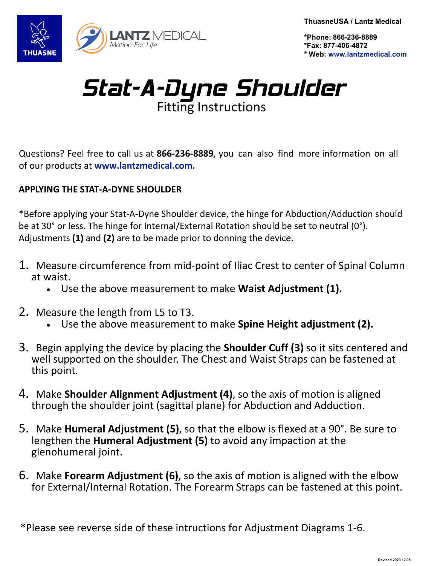Motion For Life

**ThuasneUSA / Lantz Medical** 

**\*Phone: 866-236-8889 \*Fax: 877-406-4872 \* Web: www.lantzmedical.com**

## Stat-A-Dyne Shoulder Fitting Instructions

Questions? Feel free to call us at **866-236-8889**, you can also find more information on all of our products at **www.lantzmedical.com.** 

## **APPLYING THE STAT-A-DYNE SHOULDER**

\*Before applying your Stat-A-Dyne Shoulder device, the hinge for Abduction/Adduction should be at 30° or less. The hinge for Internal/External Rotation should be set to neutral (0°). Adjustments **(1)** and **(2)** are to be made prior to donning the device.

- 1. Measure circumference from mid-point of Iliac Crest to center of Spinal Column at waist.
	- Use the above measurement to make **Waist Adjustment (1).**
- 2. Measure the length from L5 to T3.
	- Use the above measurement to make **Spine Height adjustment (2).**
- 3. Begin applying the device by placing the **Shoulder Cuff (3)** so it sits centered and well supported on the shoulder. The Chest and Waist Straps can be fastened at this point.
- 4. Make **Shoulder Alignment Adjustment (4)**, so the axis of motion is aligned through the shoulder joint (sagittal plane) for Abduction and Adduction.
- 5. Make **Humeral Adjustment (5)**, so that the elbow is flexed at a 90°. Be sure to lengthen the **Humeral Adjustment (5)** to avoid any impaction at the glenohumeral joint.
- 6. Make **Forearm Adjustment (6)**, so the axis of motion is aligned with the elbow for External/Internal Rotation. The Forearm Straps can be fastened at this point.

\*Please see reverse side of these intructions for Adjustment Diagrams 1-6.